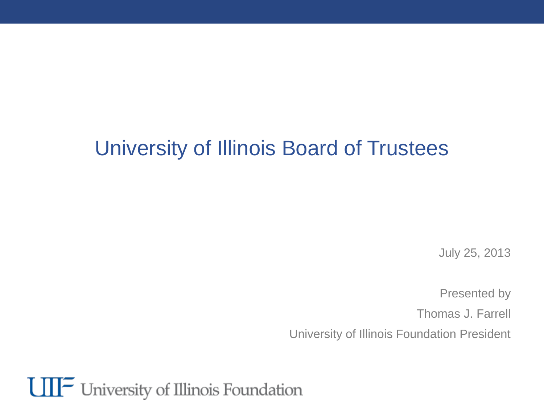## University of Illinois Board of Trustees

July 25, 2013

Presented by

Thomas J. Farrell

University of Illinois Foundation President

**UIF** University of Illinois Foundation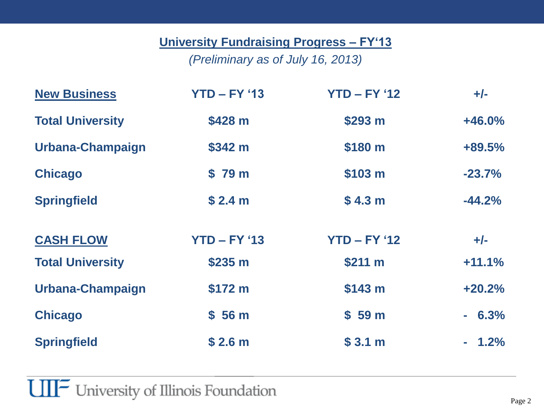#### **University Fundraising Progress – FY'13**

*(Preliminary as of July 16, 2013)*

| <b>New Business</b>     | $YTD - FY '13$     | $YTD - FY '12$     | $+/-$    |
|-------------------------|--------------------|--------------------|----------|
| <b>Total University</b> | \$428 m            | \$293 m            | $+46.0%$ |
| Urbana-Champaign        | \$342 m            | \$180 m            | +89.5%   |
| <b>Chicago</b>          | \$79 m             | \$103 m            | $-23.7%$ |
| <b>Springfield</b>      | \$2.4 m            | \$4.3 <sub>m</sub> | $-44.2%$ |
| <b>CASH FLOW</b>        | $YTD - FY '13$     | $YTD - FY '12$     | $+/-$    |
| <b>Total University</b> | \$235 m            | \$211 m            | $+11.1%$ |
| Urbana-Champaign        | \$172 m            | \$143 m            | $+20.2%$ |
| <b>Chicago</b>          | \$56 <sub>m</sub>  | \$59 <sub>m</sub>  | $-6.3%$  |
| <b>Springfield</b>      | \$2.6 <sub>m</sub> | \$3.1 m            | $-1.2%$  |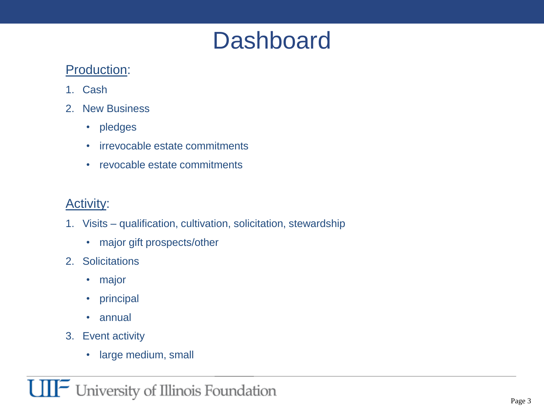# **Dashboard**

#### Production:

- 1. Cash
- 2. New Business
	- pledges
	- irrevocable estate commitments
	- revocable estate commitments

#### Activity:

- 1. Visits qualification, cultivation, solicitation, stewardship
	- major gift prospects/other
- 2. Solicitations
	- major
	- principal
	- annual
- 3. Event activity
	- large medium, small